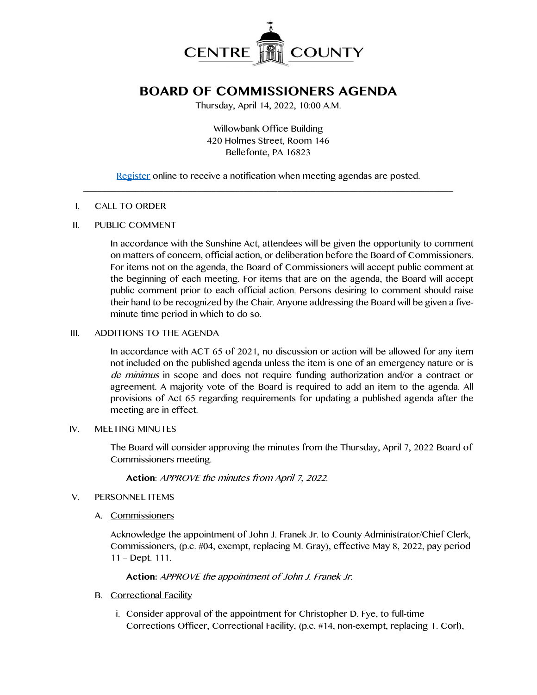

# **BOARD OF COMMISSIONERS AGENDA**

Thursday, April 14, 2022, 10:00 A.M.

Willowbank Office Building 420 Holmes Street, Room 146 Bellefonte, PA 16823

[Register](http://www.centrecountypa.gov/AgendaCenter) online to receive a notification when meeting agendas are posted.  $\mathcal{L} = \{ \mathcal{L} = \{ \mathcal{L} \mid \mathcal{L} = \{ \mathcal{L} \mid \mathcal{L} = \{ \mathcal{L} \mid \mathcal{L} = \{ \mathcal{L} \mid \mathcal{L} = \{ \mathcal{L} \mid \mathcal{L} = \{ \mathcal{L} \mid \mathcal{L} = \{ \mathcal{L} \mid \mathcal{L} = \{ \mathcal{L} \mid \mathcal{L} = \{ \mathcal{L} \mid \mathcal{L} = \{ \mathcal{L} \mid \mathcal{L} = \{ \mathcal{L} \mid \mathcal{L} = \{ \mathcal{L} \mid \mathcal{L} =$ 

## I. CALL TO ORDER

## II. PUBLIC COMMENT

In accordance with the Sunshine Act, attendees will be given the opportunity to comment on matters of concern, official action, or deliberation before the Board of Commissioners. For items not on the agenda, the Board of Commissioners will accept public comment at the beginning of each meeting. For items that are on the agenda, the Board will accept public comment prior to each official action. Persons desiring to comment should raise their hand to be recognized by the Chair. Anyone addressing the Board will be given a fiveminute time period in which to do so.

# III. ADDITIONS TO THE AGENDA

In accordance with ACT 65 of 2021, no discussion or action will be allowed for any item not included on the published agenda unless the item is one of an emergency nature or is de minimus in scope and does not require funding authorization and/or a contract or agreement. A majority vote of the Board is required to add an item to the agenda. All provisions of Act 65 regarding requirements for updating a published agenda after the meeting are in effect.

## IV. MEETING MINUTES

The Board will consider approving the minutes from the Thursday, April 7, 2022 Board of Commissioners meeting.

**Action**: APPROVE the minutes from April 7, 2022.

# V. PERSONNEL ITEMS

A. Commissioners

Acknowledge the appointment of John J. Franek Jr. to County Administrator/Chief Clerk, Commissioners, (p.c. #04, exempt, replacing M. Gray), effective May 8, 2022, pay period 11 – Dept. 111.

**Action:** APPROVE the appointment of John J. Franek Jr.

- B. Correctional Facility
	- i. Consider approval of the appointment for Christopher D. Fye, to full-time Corrections Officer, Correctional Facility, (p.c. #14, non-exempt, replacing T. Corl),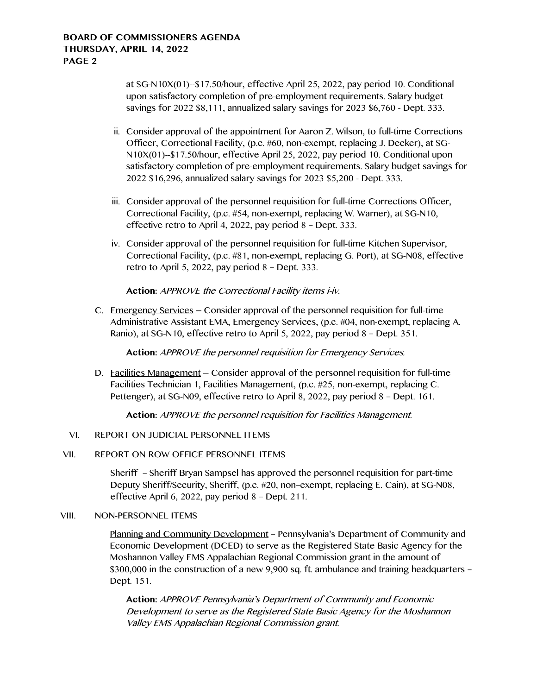at SG-N10X(01)--\$17.50/hour, effective April 25, 2022, pay period 10. Conditional upon satisfactory completion of pre-employment requirements. Salary budget savings for 2022 \$8,111, annualized salary savings for 2023 \$6,760 - Dept. 333.

- ii. Consider approval of the appointment for Aaron Z. Wilson, to full-time Corrections Officer, Correctional Facility, (p.c. #60, non-exempt, replacing J. Decker), at SG-N10X(01)--\$17.50/hour, effective April 25, 2022, pay period 10. Conditional upon satisfactory completion of pre-employment requirements. Salary budget savings for 2022 \$16,296, annualized salary savings for 2023 \$5,200 - Dept. 333.
- iii. Consider approval of the personnel requisition for full-time Corrections Officer, Correctional Facility, (p.c. #54, non-exempt, replacing W. Warner), at SG-N10, effective retro to April 4, 2022, pay period 8 – Dept. 333.
- iv. Consider approval of the personnel requisition for full-time Kitchen Supervisor, Correctional Facility, (p.c. #81, non-exempt, replacing G. Port), at SG-N08, effective retro to April 5, 2022, pay period 8 – Dept. 333.

**Action:** APPROVE the Correctional Facility items i-iv.

C. Emergency Services – Consider approval of the personnel requisition for full-time Administrative Assistant EMA, Emergency Services, (p.c. #04, non-exempt, replacing A. Ranio), at SG-N10, effective retro to April 5, 2022, pay period 8 – Dept. 351.

**Action:** APPROVE the personnel requisition for Emergency Services.

D. Facilities Management – Consider approval of the personnel requisition for full-time Facilities Technician 1, Facilities Management, (p.c. #25, non-exempt, replacing C. Pettenger), at SG-N09, effective retro to April 8, 2022, pay period 8 – Dept. 161.

**Action:** APPROVE the personnel requisition for Facilities Management.

# VI. REPORT ON JUDICIAL PERSONNEL ITEMS

## VII. REPORT ON ROW OFFICE PERSONNEL ITEMS

Sheriff – Sheriff Bryan Sampsel has approved the personnel requisition for part-time Deputy Sheriff/Security, Sheriff, (p.c. #20, non–exempt, replacing E. Cain), at SG-N08, effective April 6, 2022, pay period 8 – Dept. 211.

## VIII. NON-PERSONNEL ITEMS

Planning and Community Development – Pennsylvania's Department of Community and Economic Development (DCED) to serve as the Registered State Basic Agency for the Moshannon Valley EMS Appalachian Regional Commission grant in the amount of \$300,000 in the construction of a new 9,900 sq. ft. ambulance and training headquarters – Dept. 151.

**Action:** APPROVE Pennsylvania's Department of Community and Economic Development to serve as the Registered State Basic Agency for the Moshannon Valley EMS Appalachian Regional Commission grant.